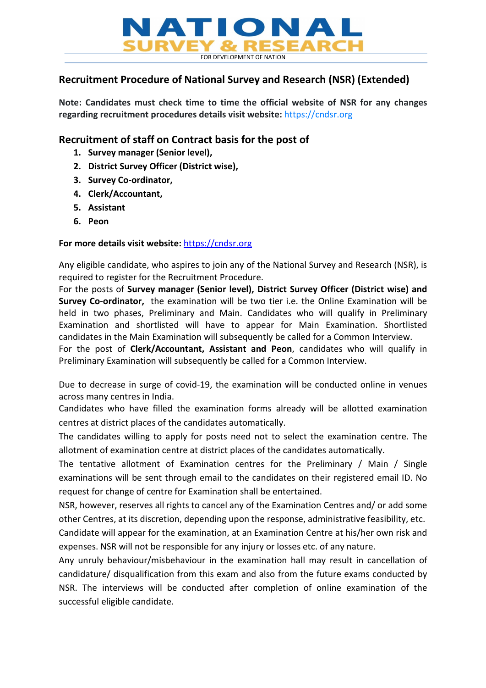

# Recruitment Procedure of National Survey and Research (NSR) (Extended)

Note: Candidates must check time to time the official website of NSR for any changes regarding recruitment procedures details visit website: https://cndsr.org

# Recruitment of staff on Contract basis for the post of

- 1. Survey manager (Senior level),
- 2. District Survey Officer (District wise),
- 3. Survey Co-ordinator,
- 4. Clerk/Accountant,
- 5. Assistant
- 6. Peon

# For more details visit website: https://cndsr.org

Any eligible candidate, who aspires to join any of the National Survey and Research (NSR), is required to register for the Recruitment Procedure.

For the posts of Survey manager (Senior level), District Survey Officer (District wise) and Survey Co-ordinator, the examination will be two tier i.e. the Online Examination will be held in two phases, Preliminary and Main. Candidates who will qualify in Preliminary Examination and shortlisted will have to appear for Main Examination. Shortlisted candidates in the Main Examination will subsequently be called for a Common Interview.

For the post of Clerk/Accountant, Assistant and Peon, candidates who will qualify in Preliminary Examination will subsequently be called for a Common Interview.

Due to decrease in surge of covid-19, the examination will be conducted online in venues across many centres in India.

Candidates who have filled the examination forms already will be allotted examination centres at district places of the candidates automatically.

The candidates willing to apply for posts need not to select the examination centre. The allotment of examination centre at district places of the candidates automatically.

The tentative allotment of Examination centres for the Preliminary / Main / Single examinations will be sent through email to the candidates on their registered email ID. No request for change of centre for Examination shall be entertained.

NSR, however, reserves all rights to cancel any of the Examination Centres and/ or add some other Centres, at its discretion, depending upon the response, administrative feasibility, etc.

Candidate will appear for the examination, at an Examination Centre at his/her own risk and expenses. NSR will not be responsible for any injury or losses etc. of any nature.

Any unruly behaviour/misbehaviour in the examination hall may result in cancellation of candidature/ disqualification from this exam and also from the future exams conducted by NSR. The interviews will be conducted after completion of online examination of the successful eligible candidate.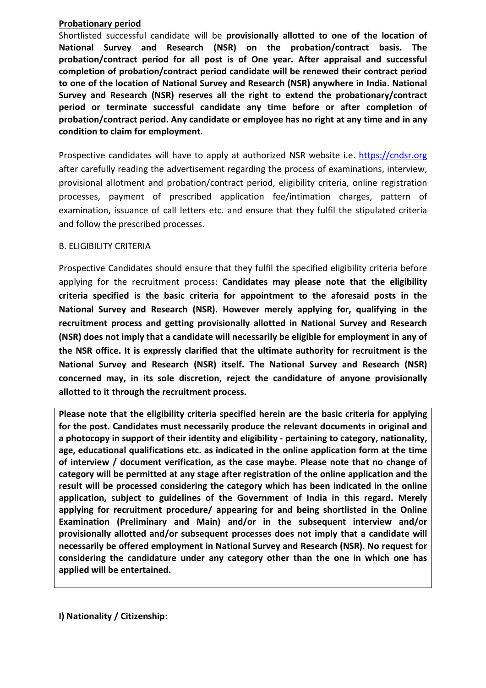### Probationary period

Shortlisted successful candidate will be provisionally allotted to one of the location of National Survey and Research (NSR) on the probation/contract basis. The probation/contract period for all post is of One year. After appraisal and successful completion of probation/contract period candidate will be renewed their contract period to one of the location of National Survey and Research (NSR) anywhere in India. National Survey and Research (NSR) reserves all the right to extend the probationary/contract period or terminate successful candidate any time before or after completion of probation/contract period. Any candidate or employee has no right at any time and in any condition to claim for employment.

Prospective candidates will have to apply at authorized NSR website i.e. https://cndsr.org after carefully reading the advertisement regarding the process of examinations, interview, provisional allotment and probation/contract period, eligibility criteria, online registration processes, payment of prescribed application fee/intimation charges, pattern of examination, issuance of call letters etc. and ensure that they fulfil the stipulated criteria and follow the prescribed processes.

## B. ELIGIBILITY CRITERIA

Prospective Candidates should ensure that they fulfil the specified eligibility criteria before applying for the recruitment process: Candidates may please note that the eligibility criteria specified is the basic criteria for appointment to the aforesaid posts in the National Survey and Research (NSR). However merely applying for, qualifying in the recruitment process and getting provisionally allotted in National Survey and Research (NSR) does not imply that a candidate will necessarily be eligible for employment in any of the NSR office. It is expressly clarified that the ultimate authority for recruitment is the National Survey and Research (NSR) itself. The National Survey and Research (NSR) concerned may, in its sole discretion, reject the candidature of anyone provisionally allotted to it through the recruitment process.

Please note that the eligibility criteria specified herein are the basic criteria for applying for the post. Candidates must necessarily produce the relevant documents in original and a photocopy in support of their identity and eligibility - pertaining to category, nationality, age, educational qualifications etc. as indicated in the online application form at the time of interview / document verification, as the case maybe. Please note that no change of category will be permitted at any stage after registration of the online application and the result will be processed considering the category which has been indicated in the online application, subject to guidelines of the Government of India in this regard. Merely applying for recruitment procedure/ appearing for and being shortlisted in the Online Examination (Preliminary and Main) and/or in the subsequent interview and/or provisionally allotted and/or subsequent processes does not imply that a candidate will necessarily be offered employment in National Survey and Research (NSR). No request for considering the candidature under any category other than the one in which one has applied will be entertained.

I) Nationality / Citizenship: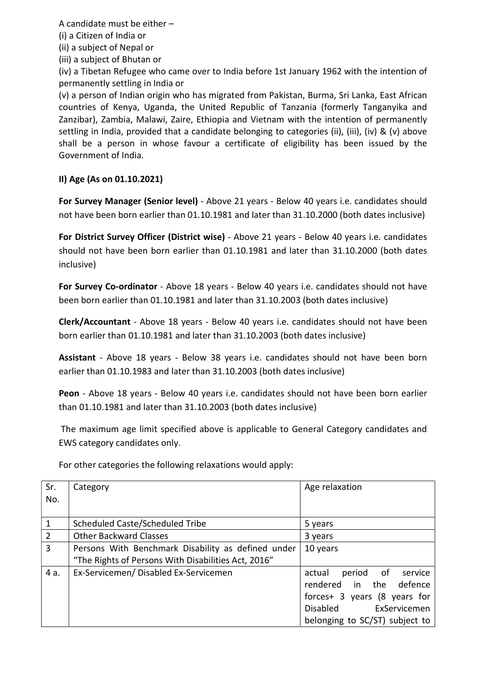A candidate must be either –

(i) a Citizen of India or

(ii) a subject of Nepal or

(iii) a subject of Bhutan or

(iv) a Tibetan Refugee who came over to India before 1st January 1962 with the intention of permanently settling in India or

(v) a person of Indian origin who has migrated from Pakistan, Burma, Sri Lanka, East African countries of Kenya, Uganda, the United Republic of Tanzania (formerly Tanganyika and Zanzibar), Zambia, Malawi, Zaire, Ethiopia and Vietnam with the intention of permanently settling in India, provided that a candidate belonging to categories (ii), (iii), (iv) & (v) above shall be a person in whose favour a certificate of eligibility has been issued by the Government of India.

# II) Age (As on 01.10.2021)

For Survey Manager (Senior level) - Above 21 years - Below 40 years i.e. candidates should not have been born earlier than 01.10.1981 and later than 31.10.2000 (both dates inclusive)

For District Survey Officer (District wise) - Above 21 years - Below 40 years i.e. candidates should not have been born earlier than 01.10.1981 and later than 31.10.2000 (both dates inclusive)

For Survey Co-ordinator - Above 18 years - Below 40 years i.e. candidates should not have been born earlier than 01.10.1981 and later than 31.10.2003 (both dates inclusive)

Clerk/Accountant - Above 18 years - Below 40 years i.e. candidates should not have been born earlier than 01.10.1981 and later than 31.10.2003 (both dates inclusive)

Assistant - Above 18 years - Below 38 years i.e. candidates should not have been born earlier than 01.10.1983 and later than 31.10.2003 (both dates inclusive)

Peon - Above 18 years - Below 40 years i.e. candidates should not have been born earlier than 01.10.1981 and later than 31.10.2003 (both dates inclusive)

 The maximum age limit specified above is applicable to General Category candidates and EWS category candidates only.

Sr. No. Category **Age relaxation** and  $\alpha$  age relaxation 1 Scheduled Caste/Scheduled Tribe 5 years 2 Other Backward Classes 2 3 years 3 Persons With Benchmark Disability as defined under "The Rights of Persons With Disabilities Act, 2016" 10 years 4 a. Ex-Servicemen/ Disabled Ex-Servicemen actual period of service rendered in the defence forces+ 3 years (8 years for Disabled ExServicemen belonging to SC/ST) subject to

For other categories the following relaxations would apply: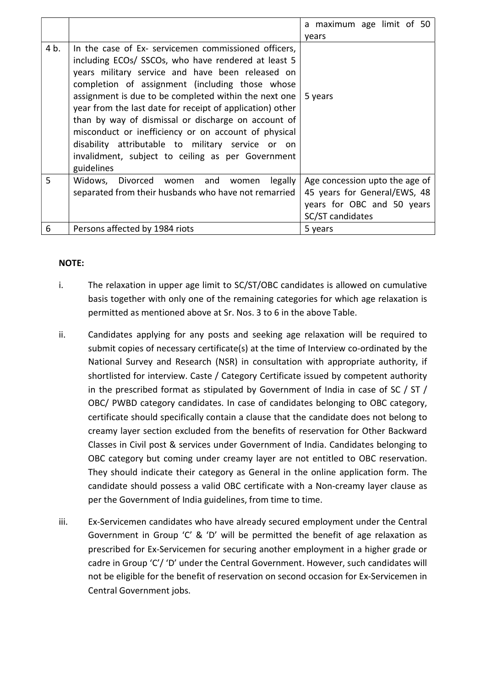|      |                                                                                                                                                                                                                                                                                                                                                                                                                                                                                                                                                                                 | a maximum age limit of 50                                                                                        |
|------|---------------------------------------------------------------------------------------------------------------------------------------------------------------------------------------------------------------------------------------------------------------------------------------------------------------------------------------------------------------------------------------------------------------------------------------------------------------------------------------------------------------------------------------------------------------------------------|------------------------------------------------------------------------------------------------------------------|
|      |                                                                                                                                                                                                                                                                                                                                                                                                                                                                                                                                                                                 | vears                                                                                                            |
| 4 b. | In the case of Ex- servicemen commissioned officers,<br>including ECOs/ SSCOs, who have rendered at least 5<br>years military service and have been released on<br>completion of assignment (including those whose<br>assignment is due to be completed within the next one<br>year from the last date for receipt of application) other<br>than by way of dismissal or discharge on account of<br>misconduct or inefficiency or on account of physical<br>disability attributable to military service or on<br>invalidment, subject to ceiling as per Government<br>guidelines | 5 years                                                                                                          |
| 5    | Widows, Divorced women and<br>legally<br>women<br>separated from their husbands who have not remarried                                                                                                                                                                                                                                                                                                                                                                                                                                                                          | Age concession upto the age of<br>45 years for General/EWS, 48<br>years for OBC and 50 years<br>SC/ST candidates |
| 6    | Persons affected by 1984 riots                                                                                                                                                                                                                                                                                                                                                                                                                                                                                                                                                  | 5 years                                                                                                          |

## NOTE:

- i. The relaxation in upper age limit to SC/ST/OBC candidates is allowed on cumulative basis together with only one of the remaining categories for which age relaxation is permitted as mentioned above at Sr. Nos. 3 to 6 in the above Table.
- ii. Candidates applying for any posts and seeking age relaxation will be required to submit copies of necessary certificate(s) at the time of Interview co-ordinated by the National Survey and Research (NSR) in consultation with appropriate authority, if shortlisted for interview. Caste / Category Certificate issued by competent authority in the prescribed format as stipulated by Government of India in case of SC / ST / OBC/ PWBD category candidates. In case of candidates belonging to OBC category, certificate should specifically contain a clause that the candidate does not belong to creamy layer section excluded from the benefits of reservation for Other Backward Classes in Civil post & services under Government of India. Candidates belonging to OBC category but coming under creamy layer are not entitled to OBC reservation. They should indicate their category as General in the online application form. The candidate should possess a valid OBC certificate with a Non-creamy layer clause as per the Government of India guidelines, from time to time.
- iii. Ex-Servicemen candidates who have already secured employment under the Central Government in Group 'C' & 'D' will be permitted the benefit of age relaxation as prescribed for Ex-Servicemen for securing another employment in a higher grade or cadre in Group 'C'/ 'D' under the Central Government. However, such candidates will not be eligible for the benefit of reservation on second occasion for Ex-Servicemen in Central Government jobs.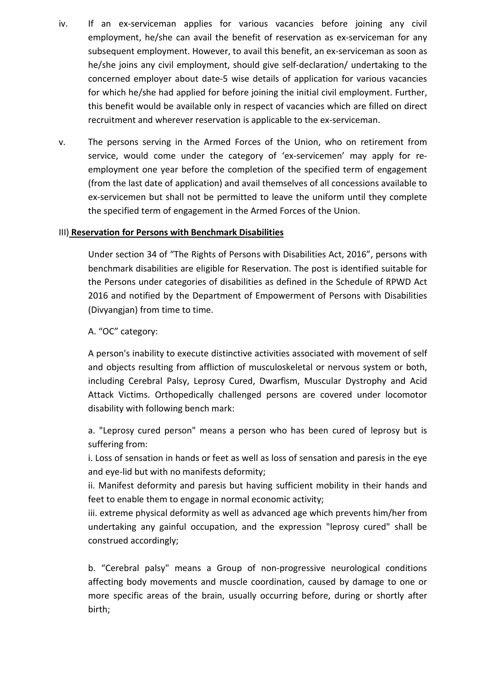- iv. If an ex-serviceman applies for various vacancies before joining any civil employment, he/she can avail the benefit of reservation as ex-serviceman for any subsequent employment. However, to avail this benefit, an ex-serviceman as soon as he/she joins any civil employment, should give self-declaration/ undertaking to the concerned employer about date-5 wise details of application for various vacancies for which he/she had applied for before joining the initial civil employment. Further, this benefit would be available only in respect of vacancies which are filled on direct recruitment and wherever reservation is applicable to the ex-serviceman.
- v. The persons serving in the Armed Forces of the Union, who on retirement from service, would come under the category of 'ex-servicemen' may apply for reemployment one year before the completion of the specified term of engagement (from the last date of application) and avail themselves of all concessions available to ex-servicemen but shall not be permitted to leave the uniform until they complete the specified term of engagement in the Armed Forces of the Union.

## III) Reservation for Persons with Benchmark Disabilities

 Under section 34 of "The Rights of Persons with Disabilities Act, 2016", persons with benchmark disabilities are eligible for Reservation. The post is identified suitable for the Persons under categories of disabilities as defined in the Schedule of RPWD Act 2016 and notified by the Department of Empowerment of Persons with Disabilities (Divyangjan) from time to time.

A. "OC" category:

A person's inability to execute distinctive activities associated with movement of self and objects resulting from affliction of musculoskeletal or nervous system or both, including Cerebral Palsy, Leprosy Cured, Dwarfism, Muscular Dystrophy and Acid Attack Victims. Orthopedically challenged persons are covered under locomotor disability with following bench mark:

a. "Leprosy cured person" means a person who has been cured of leprosy but is suffering from:

i. Loss of sensation in hands or feet as well as loss of sensation and paresis in the eye and eye-lid but with no manifests deformity;

ii. Manifest deformity and paresis but having sufficient mobility in their hands and feet to enable them to engage in normal economic activity;

iii. extreme physical deformity as well as advanced age which prevents him/her from undertaking any gainful occupation, and the expression "leprosy cured" shall be construed accordingly;

b. "Cerebral palsy" means a Group of non-progressive neurological conditions affecting body movements and muscle coordination, caused by damage to one or more specific areas of the brain, usually occurring before, during or shortly after birth;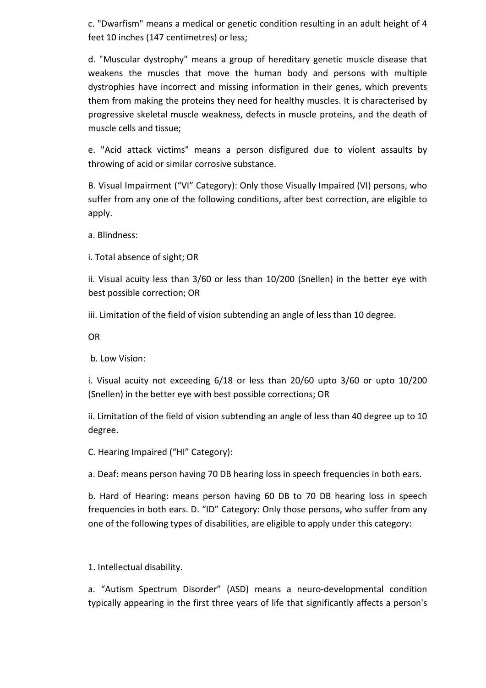c. "Dwarfism" means a medical or genetic condition resulting in an adult height of 4 feet 10 inches (147 centimetres) or less;

d. "Muscular dystrophy" means a group of hereditary genetic muscle disease that weakens the muscles that move the human body and persons with multiple dystrophies have incorrect and missing information in their genes, which prevents them from making the proteins they need for healthy muscles. It is characterised by progressive skeletal muscle weakness, defects in muscle proteins, and the death of muscle cells and tissue;

e. "Acid attack victims" means a person disfigured due to violent assaults by throwing of acid or similar corrosive substance.

B. Visual Impairment ("VI" Category): Only those Visually Impaired (VI) persons, who suffer from any one of the following conditions, after best correction, are eligible to apply.

a. Blindness:

i. Total absence of sight; OR

ii. Visual acuity less than 3/60 or less than 10/200 (Snellen) in the better eye with best possible correction; OR

iii. Limitation of the field of vision subtending an angle of less than 10 degree.

OR

b. Low Vision:

i. Visual acuity not exceeding 6/18 or less than 20/60 upto 3/60 or upto 10/200 (Snellen) in the better eye with best possible corrections; OR

ii. Limitation of the field of vision subtending an angle of less than 40 degree up to 10 degree.

C. Hearing Impaired ("HI" Category):

a. Deaf: means person having 70 DB hearing loss in speech frequencies in both ears.

b. Hard of Hearing: means person having 60 DB to 70 DB hearing loss in speech frequencies in both ears. D. "ID" Category: Only those persons, who suffer from any one of the following types of disabilities, are eligible to apply under this category:

1. Intellectual disability.

a. "Autism Spectrum Disorder" (ASD) means a neuro-developmental condition typically appearing in the first three years of life that significantly affects a person's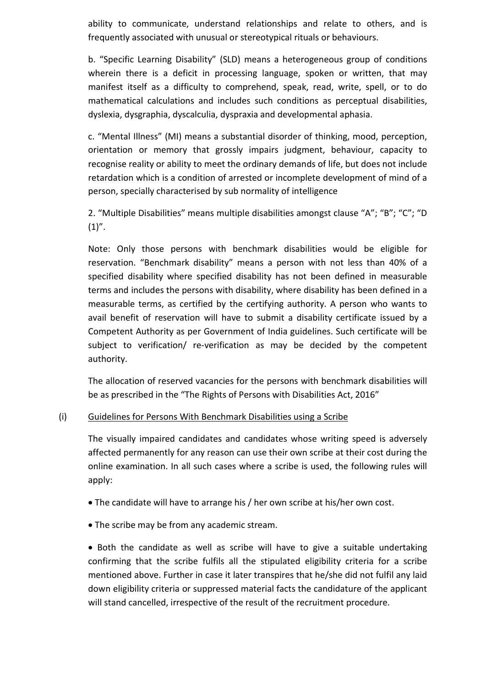ability to communicate, understand relationships and relate to others, and is frequently associated with unusual or stereotypical rituals or behaviours.

b. "Specific Learning Disability" (SLD) means a heterogeneous group of conditions wherein there is a deficit in processing language, spoken or written, that may manifest itself as a difficulty to comprehend, speak, read, write, spell, or to do mathematical calculations and includes such conditions as perceptual disabilities, dyslexia, dysgraphia, dyscalculia, dyspraxia and developmental aphasia.

c. "Mental Illness" (MI) means a substantial disorder of thinking, mood, perception, orientation or memory that grossly impairs judgment, behaviour, capacity to recognise reality or ability to meet the ordinary demands of life, but does not include retardation which is a condition of arrested or incomplete development of mind of a person, specially characterised by sub normality of intelligence

2. "Multiple Disabilities" means multiple disabilities amongst clause "A"; "B"; "C"; "D  $(1)$ ".

Note: Only those persons with benchmark disabilities would be eligible for reservation. "Benchmark disability" means a person with not less than 40% of a specified disability where specified disability has not been defined in measurable terms and includes the persons with disability, where disability has been defined in a measurable terms, as certified by the certifying authority. A person who wants to avail benefit of reservation will have to submit a disability certificate issued by a Competent Authority as per Government of India guidelines. Such certificate will be subject to verification/ re-verification as may be decided by the competent authority.

The allocation of reserved vacancies for the persons with benchmark disabilities will be as prescribed in the "The Rights of Persons with Disabilities Act, 2016"

# (i) Guidelines for Persons With Benchmark Disabilities using a Scribe

The visually impaired candidates and candidates whose writing speed is adversely affected permanently for any reason can use their own scribe at their cost during the online examination. In all such cases where a scribe is used, the following rules will apply:

- The candidate will have to arrange his / her own scribe at his/her own cost.
- The scribe may be from any academic stream.

 Both the candidate as well as scribe will have to give a suitable undertaking confirming that the scribe fulfils all the stipulated eligibility criteria for a scribe mentioned above. Further in case it later transpires that he/she did not fulfil any laid down eligibility criteria or suppressed material facts the candidature of the applicant will stand cancelled, irrespective of the result of the recruitment procedure.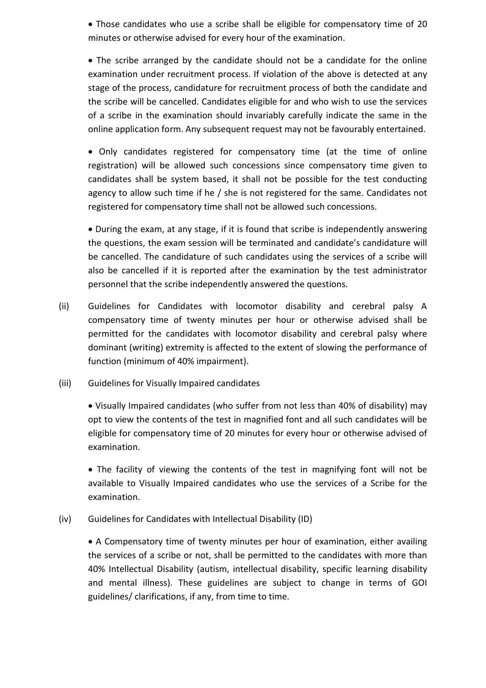Those candidates who use a scribe shall be eligible for compensatory time of 20 minutes or otherwise advised for every hour of the examination.

 The scribe arranged by the candidate should not be a candidate for the online examination under recruitment process. If violation of the above is detected at any stage of the process, candidature for recruitment process of both the candidate and the scribe will be cancelled. Candidates eligible for and who wish to use the services of a scribe in the examination should invariably carefully indicate the same in the online application form. Any subsequent request may not be favourably entertained.

• Only candidates registered for compensatory time (at the time of online registration) will be allowed such concessions since compensatory time given to candidates shall be system based, it shall not be possible for the test conducting agency to allow such time if he / she is not registered for the same. Candidates not registered for compensatory time shall not be allowed such concessions.

 During the exam, at any stage, if it is found that scribe is independently answering the questions, the exam session will be terminated and candidate's candidature will be cancelled. The candidature of such candidates using the services of a scribe will also be cancelled if it is reported after the examination by the test administrator personnel that the scribe independently answered the questions.

- (ii) Guidelines for Candidates with locomotor disability and cerebral palsy A compensatory time of twenty minutes per hour or otherwise advised shall be permitted for the candidates with locomotor disability and cerebral palsy where dominant (writing) extremity is affected to the extent of slowing the performance of function (minimum of 40% impairment).
- (iii) Guidelines for Visually Impaired candidates

 Visually Impaired candidates (who suffer from not less than 40% of disability) may opt to view the contents of the test in magnified font and all such candidates will be eligible for compensatory time of 20 minutes for every hour or otherwise advised of examination.

• The facility of viewing the contents of the test in magnifying font will not be available to Visually Impaired candidates who use the services of a Scribe for the examination.

(iv) Guidelines for Candidates with Intellectual Disability (ID)

 A Compensatory time of twenty minutes per hour of examination, either availing the services of a scribe or not, shall be permitted to the candidates with more than 40% Intellectual Disability (autism, intellectual disability, specific learning disability and mental illness). These guidelines are subject to change in terms of GOI guidelines/ clarifications, if any, from time to time.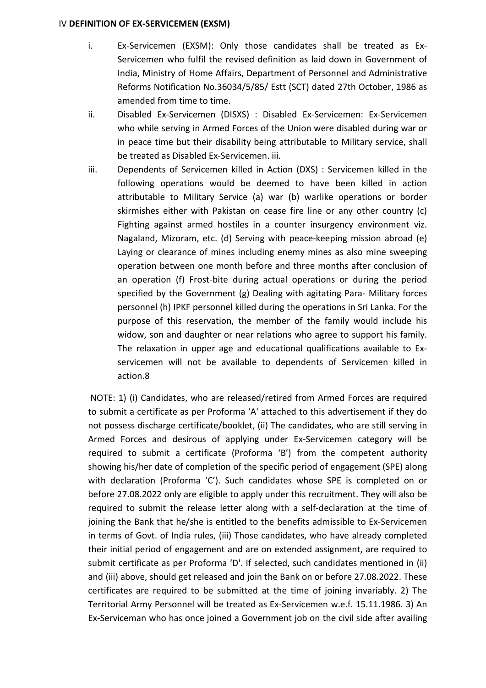#### IV DEFINITION OF EX-SERVICEMEN (EXSM)

- i. Ex-Servicemen (EXSM): Only those candidates shall be treated as Ex-Servicemen who fulfil the revised definition as laid down in Government of India, Ministry of Home Affairs, Department of Personnel and Administrative Reforms Notification No.36034/5/85/ Estt (SCT) dated 27th October, 1986 as amended from time to time.
- ii. Disabled Ex-Servicemen (DISXS) : Disabled Ex-Servicemen: Ex-Servicemen who while serving in Armed Forces of the Union were disabled during war or in peace time but their disability being attributable to Military service, shall be treated as Disabled Ex-Servicemen. iii.
- iii. Dependents of Servicemen killed in Action (DXS) : Servicemen killed in the following operations would be deemed to have been killed in action attributable to Military Service (a) war (b) warlike operations or border skirmishes either with Pakistan on cease fire line or any other country (c) Fighting against armed hostiles in a counter insurgency environment viz. Nagaland, Mizoram, etc. (d) Serving with peace-keeping mission abroad (e) Laying or clearance of mines including enemy mines as also mine sweeping operation between one month before and three months after conclusion of an operation (f) Frost-bite during actual operations or during the period specified by the Government (g) Dealing with agitating Para- Military forces personnel (h) IPKF personnel killed during the operations in Sri Lanka. For the purpose of this reservation, the member of the family would include his widow, son and daughter or near relations who agree to support his family. The relaxation in upper age and educational qualifications available to Exservicemen will not be available to dependents of Servicemen killed in action.8

 NOTE: 1) (i) Candidates, who are released/retired from Armed Forces are required to submit a certificate as per Proforma 'A' attached to this advertisement if they do not possess discharge certificate/booklet, (ii) The candidates, who are still serving in Armed Forces and desirous of applying under Ex-Servicemen category will be required to submit a certificate (Proforma 'B') from the competent authority showing his/her date of completion of the specific period of engagement (SPE) along with declaration (Proforma 'C'). Such candidates whose SPE is completed on or before 27.08.2022 only are eligible to apply under this recruitment. They will also be required to submit the release letter along with a self-declaration at the time of joining the Bank that he/she is entitled to the benefits admissible to Ex-Servicemen in terms of Govt. of India rules, (iii) Those candidates, who have already completed their initial period of engagement and are on extended assignment, are required to submit certificate as per Proforma 'D'. If selected, such candidates mentioned in (ii) and (iii) above, should get released and join the Bank on or before 27.08.2022. These certificates are required to be submitted at the time of joining invariably. 2) The Territorial Army Personnel will be treated as Ex-Servicemen w.e.f. 15.11.1986. 3) An Ex-Serviceman who has once joined a Government job on the civil side after availing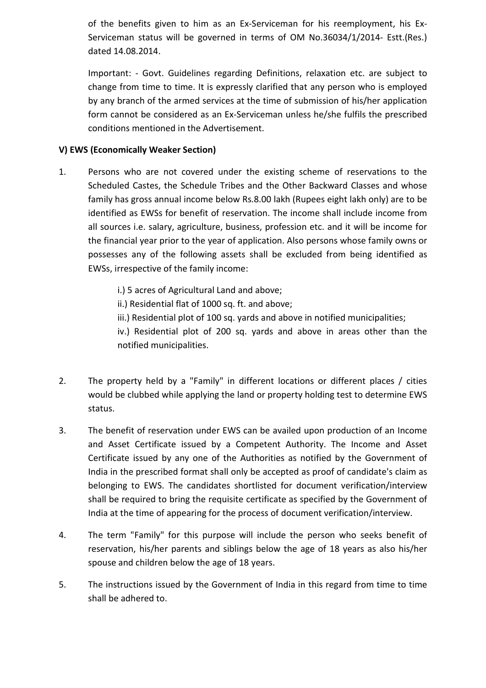of the benefits given to him as an Ex-Serviceman for his reemployment, his Ex-Serviceman status will be governed in terms of OM No.36034/1/2014- Estt.(Res.) dated 14.08.2014.

Important: - Govt. Guidelines regarding Definitions, relaxation etc. are subject to change from time to time. It is expressly clarified that any person who is employed by any branch of the armed services at the time of submission of his/her application form cannot be considered as an Ex-Serviceman unless he/she fulfils the prescribed conditions mentioned in the Advertisement.

# V) EWS (Economically Weaker Section)

- 1. Persons who are not covered under the existing scheme of reservations to the Scheduled Castes, the Schedule Tribes and the Other Backward Classes and whose family has gross annual income below Rs.8.00 lakh (Rupees eight lakh only) are to be identified as EWSs for benefit of reservation. The income shall include income from all sources i.e. salary, agriculture, business, profession etc. and it will be income for the financial year prior to the year of application. Also persons whose family owns or possesses any of the following assets shall be excluded from being identified as EWSs, irrespective of the family income:
	- i.) 5 acres of Agricultural Land and above;
	- ii.) Residential flat of 1000 sq. ft. and above;
	- iii.) Residential plot of 100 sq. yards and above in notified municipalities;

iv.) Residential plot of 200 sq. yards and above in areas other than the notified municipalities.

- 2. The property held by a "Family" in different locations or different places / cities would be clubbed while applying the land or property holding test to determine EWS status.
- 3. The benefit of reservation under EWS can be availed upon production of an Income and Asset Certificate issued by a Competent Authority. The Income and Asset Certificate issued by any one of the Authorities as notified by the Government of India in the prescribed format shall only be accepted as proof of candidate's claim as belonging to EWS. The candidates shortlisted for document verification/interview shall be required to bring the requisite certificate as specified by the Government of India at the time of appearing for the process of document verification/interview.
- 4. The term "Family" for this purpose will include the person who seeks benefit of reservation, his/her parents and siblings below the age of 18 years as also his/her spouse and children below the age of 18 years.
- 5. The instructions issued by the Government of India in this regard from time to time shall be adhered to.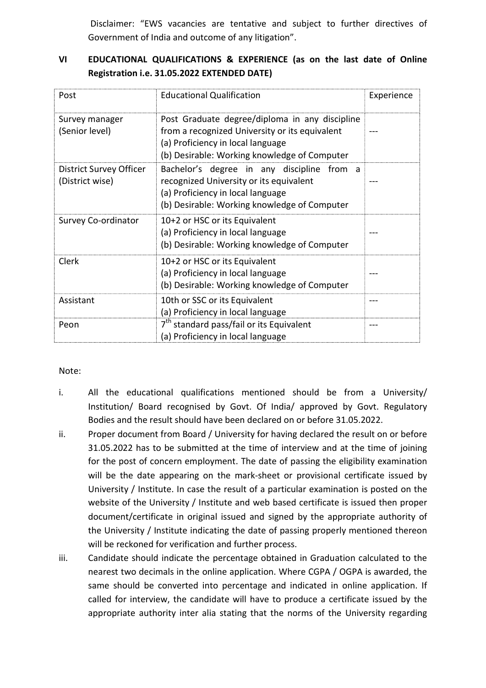Disclaimer: "EWS vacancies are tentative and subject to further directives of Government of India and outcome of any litigation".

# VI EDUCATIONAL QUALIFICATIONS & EXPERIENCE (as on the last date of Online Registration i.e. 31.05.2022 EXTENDED DATE)

| Post                                       | <b>Educational Qualification</b>                                                                                                                                                      | Experience |
|--------------------------------------------|---------------------------------------------------------------------------------------------------------------------------------------------------------------------------------------|------------|
| Survey manager<br>(Senior level)           | Post Graduate degree/diploma in any discipline<br>from a recognized University or its equivalent<br>(a) Proficiency in local language<br>(b) Desirable: Working knowledge of Computer |            |
| District Survey Officer<br>(District wise) | Bachelor's degree in any discipline from a<br>recognized University or its equivalent<br>(a) Proficiency in local language<br>(b) Desirable: Working knowledge of Computer            |            |
| Survey Co-ordinator                        | 10+2 or HSC or its Equivalent<br>(a) Proficiency in local language<br>(b) Desirable: Working knowledge of Computer                                                                    |            |
| Clerk                                      | 10+2 or HSC or its Equivalent<br>(a) Proficiency in local language<br>(b) Desirable: Working knowledge of Computer                                                                    |            |
| Assistant                                  | 10th or SSC or its Equivalent<br>(a) Proficiency in local language                                                                                                                    |            |
| Peon                                       | 7 <sup>th</sup> standard pass/fail or its Equivalent<br>(a) Proficiency in local language                                                                                             |            |

### Note:

- i. All the educational qualifications mentioned should be from a University/ Institution/ Board recognised by Govt. Of India/ approved by Govt. Regulatory Bodies and the result should have been declared on or before 31.05.2022.
- ii. Proper document from Board / University for having declared the result on or before 31.05.2022 has to be submitted at the time of interview and at the time of joining for the post of concern employment. The date of passing the eligibility examination will be the date appearing on the mark-sheet or provisional certificate issued by University / Institute. In case the result of a particular examination is posted on the website of the University / Institute and web based certificate is issued then proper document/certificate in original issued and signed by the appropriate authority of the University / Institute indicating the date of passing properly mentioned thereon will be reckoned for verification and further process.
- iii. Candidate should indicate the percentage obtained in Graduation calculated to the nearest two decimals in the online application. Where CGPA / OGPA is awarded, the same should be converted into percentage and indicated in online application. If called for interview, the candidate will have to produce a certificate issued by the appropriate authority inter alia stating that the norms of the University regarding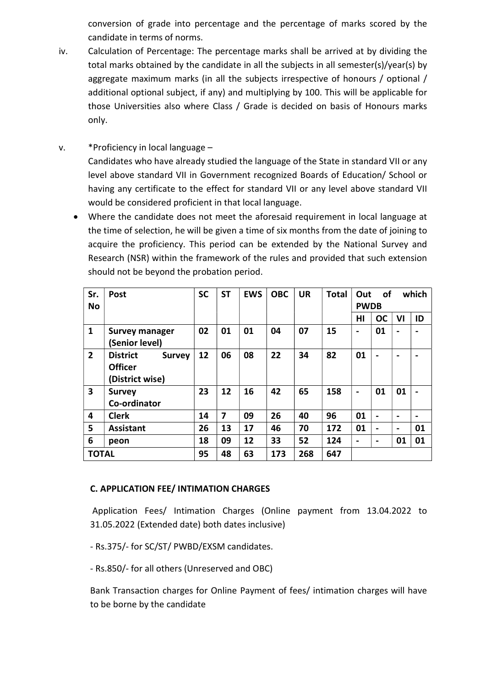conversion of grade into percentage and the percentage of marks scored by the candidate in terms of norms.

- iv. Calculation of Percentage: The percentage marks shall be arrived at by dividing the total marks obtained by the candidate in all the subjects in all semester(s)/year(s) by aggregate maximum marks (in all the subjects irrespective of honours / optional / additional optional subject, if any) and multiplying by 100. This will be applicable for those Universities also where Class / Grade is decided on basis of Honours marks only.
- v. \*Proficiency in local language Candidates who have already studied the language of the State in standard VII or any level above standard VII in Government recognized Boards of Education/ School or having any certificate to the effect for standard VII or any level above standard VII would be considered proficient in that local language.
	- Where the candidate does not meet the aforesaid requirement in local language at the time of selection, he will be given a time of six months from the date of joining to acquire the proficiency. This period can be extended by the National Survey and Research (NSR) within the framework of the rules and provided that such extension should not be beyond the probation period.

| Sr.<br><b>No</b> | Post                                                                  | <b>SC</b> | <b>ST</b> | <b>EWS</b> | <b>OBC</b> | <b>UR</b> | <b>Total</b> | Out<br><b>PWDB</b> | of             |                          | which          |
|------------------|-----------------------------------------------------------------------|-----------|-----------|------------|------------|-----------|--------------|--------------------|----------------|--------------------------|----------------|
|                  |                                                                       |           |           |            |            |           |              | HI                 | <b>OC</b>      | VI                       | ID             |
| $\mathbf{1}$     | <b>Survey manager</b><br>(Senior level)                               | 02        | 01        | 01         | 04         | 07        | 15           | $\blacksquare$     | 01             | $\blacksquare$           |                |
| $\overline{2}$   | <b>District</b><br><b>Survey</b><br><b>Officer</b><br>(District wise) | 12        | 06        | 08         | 22         | 34        | 82           | 01                 |                | $\blacksquare$           |                |
| 3                | <b>Survey</b><br>Co-ordinator                                         | 23        | 12        | 16         | 42         | 65        | 158          | $\blacksquare$     | 01             | 01                       |                |
| 4                | <b>Clerk</b>                                                          | 14        | 7         | 09         | 26         | 40        | 96           | 01                 | $\blacksquare$ | $\overline{\phantom{0}}$ | $\blacksquare$ |
| 5                | <b>Assistant</b>                                                      | 26        | 13        | 17         | 46         | 70        | 172          | 01                 | $\blacksquare$ | $\blacksquare$           | 01             |
| 6                | peon                                                                  | 18        | 09        | 12         | 33         | 52        | 124          | $\blacksquare$     | -              | 01                       | 01             |
| <b>TOTAL</b>     |                                                                       | 95        | 48        | 63         | 173        | 268       | 647          |                    |                |                          |                |

# C. APPLICATION FEE/ INTIMATION CHARGES

 Application Fees/ Intimation Charges (Online payment from 13.04.2022 to 31.05.2022 (Extended date) both dates inclusive)

- Rs.375/- for SC/ST/ PWBD/EXSM candidates.

- Rs.850/- for all others (Unreserved and OBC)

Bank Transaction charges for Online Payment of fees/ intimation charges will have to be borne by the candidate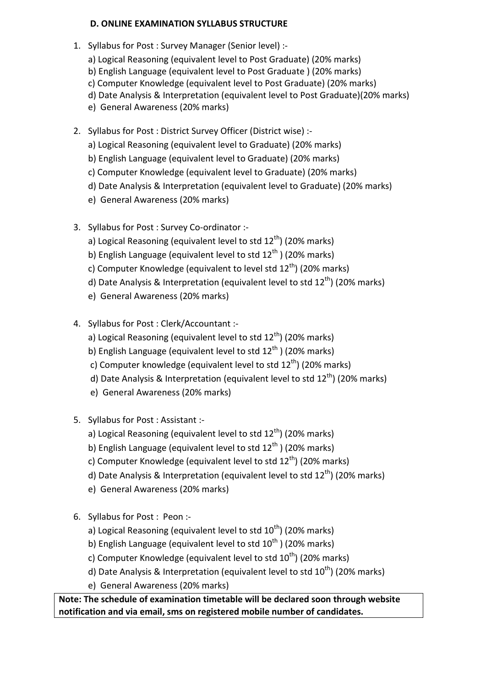# D. ONLINE EXAMINATION SYLLABUS STRUCTURE

- 1. Syllabus for Post : Survey Manager (Senior level) :
	- a) Logical Reasoning (equivalent level to Post Graduate) (20% marks) b) English Language (equivalent level to Post Graduate ) (20% marks)
	- c) Computer Knowledge (equivalent level to Post Graduate) (20% marks)
	- d) Date Analysis & Interpretation (equivalent level to Post Graduate)(20% marks)
	- e) General Awareness (20% marks)
- 2. Syllabus for Post : District Survey Officer (District wise) :
	- a) Logical Reasoning (equivalent level to Graduate) (20% marks)
	- b) English Language (equivalent level to Graduate) (20% marks)
	- c) Computer Knowledge (equivalent level to Graduate) (20% marks)
	- d) Date Analysis & Interpretation (equivalent level to Graduate) (20% marks)
	- e) General Awareness (20% marks)
- 3. Syllabus for Post : Survey Co-ordinator :
	- a) Logical Reasoning (equivalent level to std  $12<sup>th</sup>$ ) (20% marks)
	- b) English Language (equivalent level to std  $12<sup>th</sup>$ ) (20% marks)
	- c) Computer Knowledge (equivalent to level std  $12<sup>th</sup>$ ) (20% marks)
	- d) Date Analysis & Interpretation (equivalent level to std  $12<sup>th</sup>$ ) (20% marks)
	- e) General Awareness (20% marks)
- 4. Syllabus for Post : Clerk/Accountant :
	- a) Logical Reasoning (equivalent level to std  $12<sup>th</sup>$ ) (20% marks)
	- b) English Language (equivalent level to std  $12<sup>th</sup>$ ) (20% marks)
	- c) Computer knowledge (equivalent level to std  $12<sup>th</sup>$ ) (20% marks)
	- d) Date Analysis & Interpretation (equivalent level to std  $12^{th}$ ) (20% marks)
	- e) General Awareness (20% marks)
- 5. Syllabus for Post : Assistant :
	- a) Logical Reasoning (equivalent level to std  $12<sup>th</sup>$ ) (20% marks)
	- b) English Language (equivalent level to std  $12<sup>th</sup>$ ) (20% marks)
	- c) Computer Knowledge (equivalent level to std  $12<sup>th</sup>$ ) (20% marks)
	- d) Date Analysis & Interpretation (equivalent level to std  $12<sup>th</sup>$ ) (20% marks)
	- e) General Awareness (20% marks)
- 6. Syllabus for Post : Peon :
	- a) Logical Reasoning (equivalent level to std  $10<sup>th</sup>$ ) (20% marks)
	- b) English Language (equivalent level to std  $10^{th}$ ) (20% marks)
	- c) Computer Knowledge (equivalent level to std  $10^{th}$ ) (20% marks)
	- d) Date Analysis & Interpretation (equivalent level to std  $10^{th}$ ) (20% marks)
	- e) General Awareness (20% marks)

Note: The schedule of examination timetable will be declared soon through website notification and via email, sms on registered mobile number of candidates.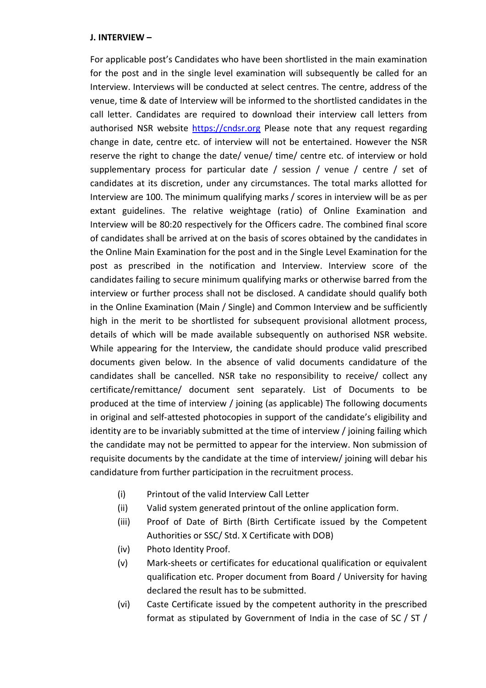#### J. INTERVIEW –

For applicable post's Candidates who have been shortlisted in the main examination for the post and in the single level examination will subsequently be called for an Interview. Interviews will be conducted at select centres. The centre, address of the venue, time & date of Interview will be informed to the shortlisted candidates in the call letter. Candidates are required to download their interview call letters from authorised NSR website https://cndsr.org Please note that any request regarding change in date, centre etc. of interview will not be entertained. However the NSR reserve the right to change the date/ venue/ time/ centre etc. of interview or hold supplementary process for particular date / session / venue / centre / set of candidates at its discretion, under any circumstances. The total marks allotted for Interview are 100. The minimum qualifying marks / scores in interview will be as per extant guidelines. The relative weightage (ratio) of Online Examination and Interview will be 80:20 respectively for the Officers cadre. The combined final score of candidates shall be arrived at on the basis of scores obtained by the candidates in the Online Main Examination for the post and in the Single Level Examination for the post as prescribed in the notification and Interview. Interview score of the candidates failing to secure minimum qualifying marks or otherwise barred from the interview or further process shall not be disclosed. A candidate should qualify both in the Online Examination (Main / Single) and Common Interview and be sufficiently high in the merit to be shortlisted for subsequent provisional allotment process, details of which will be made available subsequently on authorised NSR website. While appearing for the Interview, the candidate should produce valid prescribed documents given below. In the absence of valid documents candidature of the candidates shall be cancelled. NSR take no responsibility to receive/ collect any certificate/remittance/ document sent separately. List of Documents to be produced at the time of interview / joining (as applicable) The following documents in original and self-attested photocopies in support of the candidate's eligibility and identity are to be invariably submitted at the time of interview / joining failing which the candidate may not be permitted to appear for the interview. Non submission of requisite documents by the candidate at the time of interview/ joining will debar his candidature from further participation in the recruitment process.

- (i) Printout of the valid Interview Call Letter
- (ii) Valid system generated printout of the online application form.
- (iii) Proof of Date of Birth (Birth Certificate issued by the Competent Authorities or SSC/ Std. X Certificate with DOB)
- (iv) Photo Identity Proof.
- (v) Mark-sheets or certificates for educational qualification or equivalent qualification etc. Proper document from Board / University for having declared the result has to be submitted.
- (vi) Caste Certificate issued by the competent authority in the prescribed format as stipulated by Government of India in the case of SC / ST /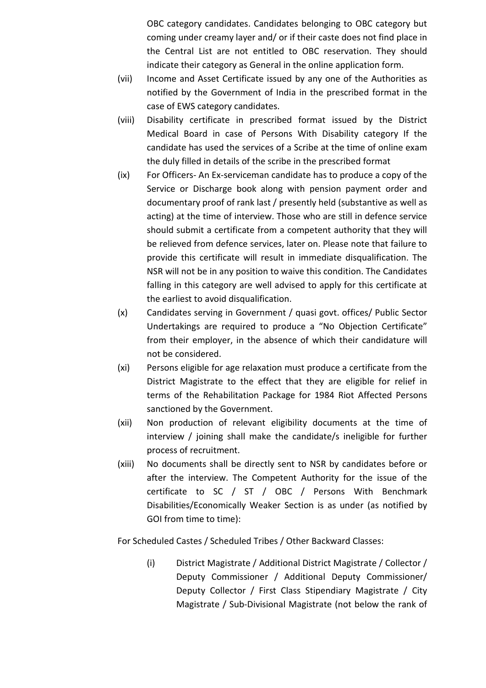OBC category candidates. Candidates belonging to OBC category but coming under creamy layer and/ or if their caste does not find place in the Central List are not entitled to OBC reservation. They should indicate their category as General in the online application form.

- (vii) Income and Asset Certificate issued by any one of the Authorities as notified by the Government of India in the prescribed format in the case of EWS category candidates.
- (viii) Disability certificate in prescribed format issued by the District Medical Board in case of Persons With Disability category If the candidate has used the services of a Scribe at the time of online exam the duly filled in details of the scribe in the prescribed format
- (ix) For Officers- An Ex-serviceman candidate has to produce a copy of the Service or Discharge book along with pension payment order and documentary proof of rank last / presently held (substantive as well as acting) at the time of interview. Those who are still in defence service should submit a certificate from a competent authority that they will be relieved from defence services, later on. Please note that failure to provide this certificate will result in immediate disqualification. The NSR will not be in any position to waive this condition. The Candidates falling in this category are well advised to apply for this certificate at the earliest to avoid disqualification.
- (x) Candidates serving in Government / quasi govt. offices/ Public Sector Undertakings are required to produce a "No Objection Certificate" from their employer, in the absence of which their candidature will not be considered.
- (xi) Persons eligible for age relaxation must produce a certificate from the District Magistrate to the effect that they are eligible for relief in terms of the Rehabilitation Package for 1984 Riot Affected Persons sanctioned by the Government.
- (xii) Non production of relevant eligibility documents at the time of interview / joining shall make the candidate/s ineligible for further process of recruitment.
- (xiii) No documents shall be directly sent to NSR by candidates before or after the interview. The Competent Authority for the issue of the certificate to SC / ST / OBC / Persons With Benchmark Disabilities/Economically Weaker Section is as under (as notified by GOI from time to time):

For Scheduled Castes / Scheduled Tribes / Other Backward Classes:

(i) District Magistrate / Additional District Magistrate / Collector / Deputy Commissioner / Additional Deputy Commissioner/ Deputy Collector / First Class Stipendiary Magistrate / City Magistrate / Sub-Divisional Magistrate (not below the rank of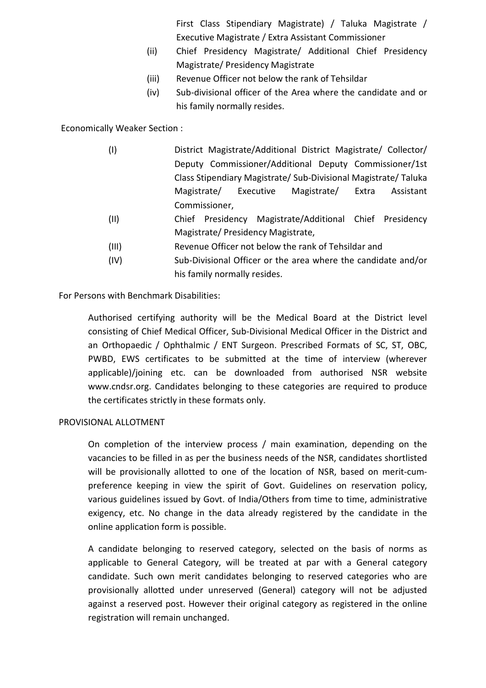First Class Stipendiary Magistrate) / Taluka Magistrate / Executive Magistrate / Extra Assistant Commissioner

- (ii) Chief Presidency Magistrate/ Additional Chief Presidency Magistrate/ Presidency Magistrate
- (iii) Revenue Officer not below the rank of Tehsildar
- (iv) Sub-divisional officer of the Area where the candidate and or his family normally resides.

Economically Weaker Section :

- (I) District Magistrate/Additional District Magistrate/ Collector/ Deputy Commissioner/Additional Deputy Commissioner/1st Class Stipendiary Magistrate/ Sub-Divisional Magistrate/ Taluka Magistrate/ Executive Magistrate/ Extra Assistant Commissioner,
- (II) Chief Presidency Magistrate/Additional Chief Presidency Magistrate/ Presidency Magistrate,
- (III) Revenue Officer not below the rank of Tehsildar and
- (IV) Sub-Divisional Officer or the area where the candidate and/or his family normally resides.

For Persons with Benchmark Disabilities:

Authorised certifying authority will be the Medical Board at the District level consisting of Chief Medical Officer, Sub-Divisional Medical Officer in the District and an Orthopaedic / Ophthalmic / ENT Surgeon. Prescribed Formats of SC, ST, OBC, PWBD, EWS certificates to be submitted at the time of interview (wherever applicable)/joining etc. can be downloaded from authorised NSR website www.cndsr.org. Candidates belonging to these categories are required to produce the certificates strictly in these formats only.

### PROVISIONAL ALLOTMENT

On completion of the interview process / main examination, depending on the vacancies to be filled in as per the business needs of the NSR, candidates shortlisted will be provisionally allotted to one of the location of NSR, based on merit-cumpreference keeping in view the spirit of Govt. Guidelines on reservation policy, various guidelines issued by Govt. of India/Others from time to time, administrative exigency, etc. No change in the data already registered by the candidate in the online application form is possible.

A candidate belonging to reserved category, selected on the basis of norms as applicable to General Category, will be treated at par with a General category candidate. Such own merit candidates belonging to reserved categories who are provisionally allotted under unreserved (General) category will not be adjusted against a reserved post. However their original category as registered in the online registration will remain unchanged.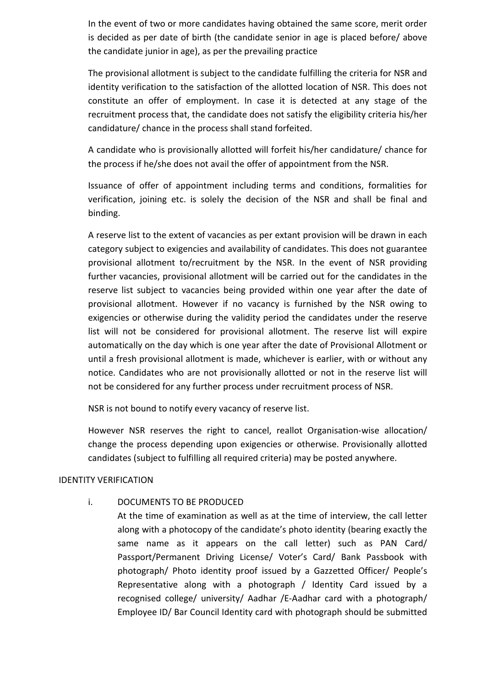In the event of two or more candidates having obtained the same score, merit order is decided as per date of birth (the candidate senior in age is placed before/ above the candidate junior in age), as per the prevailing practice

The provisional allotment is subject to the candidate fulfilling the criteria for NSR and identity verification to the satisfaction of the allotted location of NSR. This does not constitute an offer of employment. In case it is detected at any stage of the recruitment process that, the candidate does not satisfy the eligibility criteria his/her candidature/ chance in the process shall stand forfeited.

A candidate who is provisionally allotted will forfeit his/her candidature/ chance for the process if he/she does not avail the offer of appointment from the NSR.

Issuance of offer of appointment including terms and conditions, formalities for verification, joining etc. is solely the decision of the NSR and shall be final and binding.

A reserve list to the extent of vacancies as per extant provision will be drawn in each category subject to exigencies and availability of candidates. This does not guarantee provisional allotment to/recruitment by the NSR. In the event of NSR providing further vacancies, provisional allotment will be carried out for the candidates in the reserve list subject to vacancies being provided within one year after the date of provisional allotment. However if no vacancy is furnished by the NSR owing to exigencies or otherwise during the validity period the candidates under the reserve list will not be considered for provisional allotment. The reserve list will expire automatically on the day which is one year after the date of Provisional Allotment or until a fresh provisional allotment is made, whichever is earlier, with or without any notice. Candidates who are not provisionally allotted or not in the reserve list will not be considered for any further process under recruitment process of NSR.

NSR is not bound to notify every vacancy of reserve list.

However NSR reserves the right to cancel, reallot Organisation-wise allocation/ change the process depending upon exigencies or otherwise. Provisionally allotted candidates (subject to fulfilling all required criteria) may be posted anywhere.

### IDENTITY VERIFICATION

### i. DOCUMENTS TO BE PRODUCED

At the time of examination as well as at the time of interview, the call letter along with a photocopy of the candidate's photo identity (bearing exactly the same name as it appears on the call letter) such as PAN Card/ Passport/Permanent Driving License/ Voter's Card/ Bank Passbook with photograph/ Photo identity proof issued by a Gazzetted Officer/ People's Representative along with a photograph / Identity Card issued by a recognised college/ university/ Aadhar /E-Aadhar card with a photograph/ Employee ID/ Bar Council Identity card with photograph should be submitted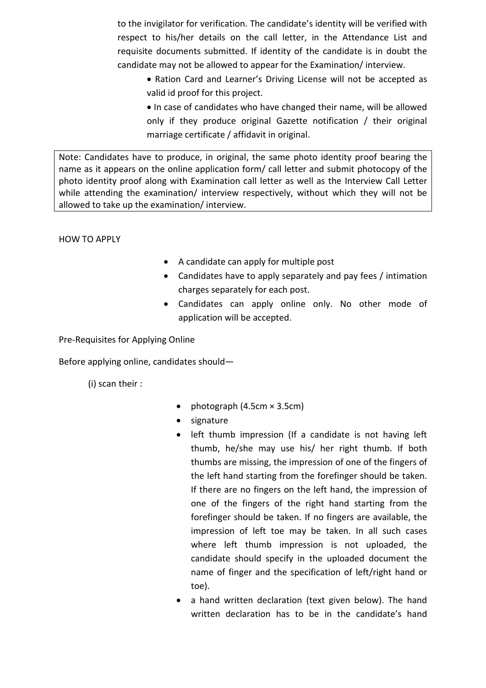to the invigilator for verification. The candidate's identity will be verified with respect to his/her details on the call letter, in the Attendance List and requisite documents submitted. If identity of the candidate is in doubt the candidate may not be allowed to appear for the Examination/ interview.

- Ration Card and Learner's Driving License will not be accepted as valid id proof for this project.
- In case of candidates who have changed their name, will be allowed only if they produce original Gazette notification / their original marriage certificate / affidavit in original.

Note: Candidates have to produce, in original, the same photo identity proof bearing the name as it appears on the online application form/ call letter and submit photocopy of the photo identity proof along with Examination call letter as well as the Interview Call Letter while attending the examination/ interview respectively, without which they will not be allowed to take up the examination/ interview.

HOW TO APPLY

- A candidate can apply for multiple post
- Candidates have to apply separately and pay fees / intimation charges separately for each post.
- Candidates can apply online only. No other mode of application will be accepted.

Pre-Requisites for Applying Online

Before applying online, candidates should—

(i) scan their :

- photograph  $(4.5cm \times 3.5cm)$
- signature
- left thumb impression (If a candidate is not having left thumb, he/she may use his/ her right thumb. If both thumbs are missing, the impression of one of the fingers of the left hand starting from the forefinger should be taken. If there are no fingers on the left hand, the impression of one of the fingers of the right hand starting from the forefinger should be taken. If no fingers are available, the impression of left toe may be taken. In all such cases where left thumb impression is not uploaded, the candidate should specify in the uploaded document the name of finger and the specification of left/right hand or toe).
- a hand written declaration (text given below). The hand written declaration has to be in the candidate's hand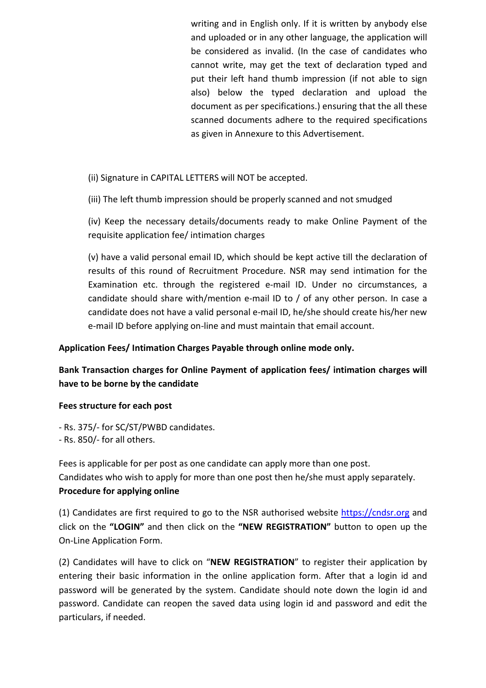writing and in English only. If it is written by anybody else and uploaded or in any other language, the application will be considered as invalid. (In the case of candidates who cannot write, may get the text of declaration typed and put their left hand thumb impression (if not able to sign also) below the typed declaration and upload the document as per specifications.) ensuring that the all these scanned documents adhere to the required specifications as given in Annexure to this Advertisement.

(ii) Signature in CAPITAL LETTERS will NOT be accepted.

(iii) The left thumb impression should be properly scanned and not smudged

(iv) Keep the necessary details/documents ready to make Online Payment of the requisite application fee/ intimation charges

(v) have a valid personal email ID, which should be kept active till the declaration of results of this round of Recruitment Procedure. NSR may send intimation for the Examination etc. through the registered e-mail ID. Under no circumstances, a candidate should share with/mention e-mail ID to / of any other person. In case a candidate does not have a valid personal e-mail ID, he/she should create his/her new e-mail ID before applying on-line and must maintain that email account.

## Application Fees/ Intimation Charges Payable through online mode only.

# Bank Transaction charges for Online Payment of application fees/ intimation charges will have to be borne by the candidate

### Fees structure for each post

- Rs. 375/- for SC/ST/PWBD candidates.

- Rs. 850/- for all others.

Fees is applicable for per post as one candidate can apply more than one post. Candidates who wish to apply for more than one post then he/she must apply separately. Procedure for applying online

(1) Candidates are first required to go to the NSR authorised website https://cndsr.org and click on the "LOGIN" and then click on the "NEW REGISTRATION" button to open up the On-Line Application Form.

(2) Candidates will have to click on "NEW REGISTRATION" to register their application by entering their basic information in the online application form. After that a login id and password will be generated by the system. Candidate should note down the login id and password. Candidate can reopen the saved data using login id and password and edit the particulars, if needed.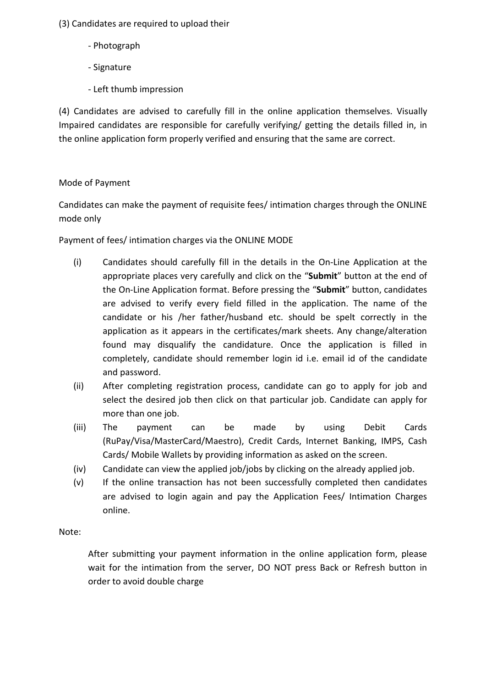(3) Candidates are required to upload their

- Photograph
- Signature
- Left thumb impression

(4) Candidates are advised to carefully fill in the online application themselves. Visually Impaired candidates are responsible for carefully verifying/ getting the details filled in, in the online application form properly verified and ensuring that the same are correct.

# Mode of Payment

Candidates can make the payment of requisite fees/ intimation charges through the ONLINE mode only

Payment of fees/ intimation charges via the ONLINE MODE

- (i) Candidates should carefully fill in the details in the On-Line Application at the appropriate places very carefully and click on the "Submit" button at the end of the On-Line Application format. Before pressing the "Submit" button, candidates are advised to verify every field filled in the application. The name of the candidate or his /her father/husband etc. should be spelt correctly in the application as it appears in the certificates/mark sheets. Any change/alteration found may disqualify the candidature. Once the application is filled in completely, candidate should remember login id i.e. email id of the candidate and password.
- (ii) After completing registration process, candidate can go to apply for job and select the desired job then click on that particular job. Candidate can apply for more than one job.
- (iii) The payment can be made by using Debit Cards (RuPay/Visa/MasterCard/Maestro), Credit Cards, Internet Banking, IMPS, Cash Cards/ Mobile Wallets by providing information as asked on the screen.
- (iv) Candidate can view the applied job/jobs by clicking on the already applied job.
- (v) If the online transaction has not been successfully completed then candidates are advised to login again and pay the Application Fees/ Intimation Charges online.

Note:

After submitting your payment information in the online application form, please wait for the intimation from the server, DO NOT press Back or Refresh button in order to avoid double charge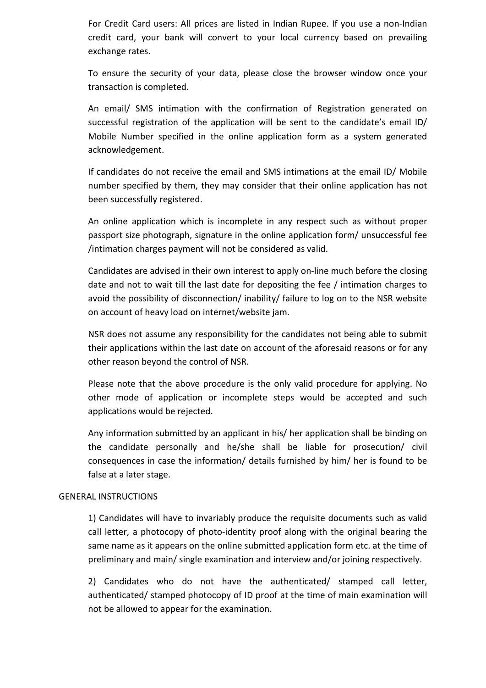For Credit Card users: All prices are listed in Indian Rupee. If you use a non-Indian credit card, your bank will convert to your local currency based on prevailing exchange rates.

To ensure the security of your data, please close the browser window once your transaction is completed.

An email/ SMS intimation with the confirmation of Registration generated on successful registration of the application will be sent to the candidate's email ID/ Mobile Number specified in the online application form as a system generated acknowledgement.

If candidates do not receive the email and SMS intimations at the email ID/ Mobile number specified by them, they may consider that their online application has not been successfully registered.

An online application which is incomplete in any respect such as without proper passport size photograph, signature in the online application form/ unsuccessful fee /intimation charges payment will not be considered as valid.

Candidates are advised in their own interest to apply on-line much before the closing date and not to wait till the last date for depositing the fee / intimation charges to avoid the possibility of disconnection/ inability/ failure to log on to the NSR website on account of heavy load on internet/website jam.

NSR does not assume any responsibility for the candidates not being able to submit their applications within the last date on account of the aforesaid reasons or for any other reason beyond the control of NSR.

Please note that the above procedure is the only valid procedure for applying. No other mode of application or incomplete steps would be accepted and such applications would be rejected.

Any information submitted by an applicant in his/ her application shall be binding on the candidate personally and he/she shall be liable for prosecution/ civil consequences in case the information/ details furnished by him/ her is found to be false at a later stage.

## GENERAL INSTRUCTIONS

1) Candidates will have to invariably produce the requisite documents such as valid call letter, a photocopy of photo-identity proof along with the original bearing the same name as it appears on the online submitted application form etc. at the time of preliminary and main/ single examination and interview and/or joining respectively.

2) Candidates who do not have the authenticated/ stamped call letter, authenticated/ stamped photocopy of ID proof at the time of main examination will not be allowed to appear for the examination.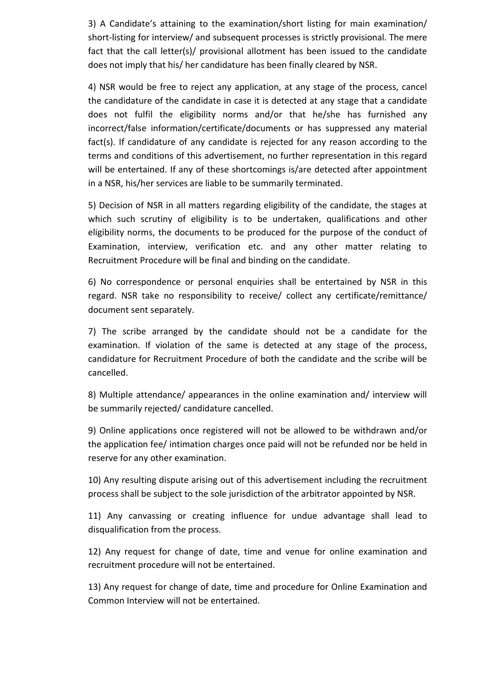3) A Candidate's attaining to the examination/short listing for main examination/ short-listing for interview/ and subsequent processes is strictly provisional. The mere fact that the call letter(s)/ provisional allotment has been issued to the candidate does not imply that his/ her candidature has been finally cleared by NSR.

4) NSR would be free to reject any application, at any stage of the process, cancel the candidature of the candidate in case it is detected at any stage that a candidate does not fulfil the eligibility norms and/or that he/she has furnished any incorrect/false information/certificate/documents or has suppressed any material fact(s). If candidature of any candidate is rejected for any reason according to the terms and conditions of this advertisement, no further representation in this regard will be entertained. If any of these shortcomings is/are detected after appointment in a NSR, his/her services are liable to be summarily terminated.

5) Decision of NSR in all matters regarding eligibility of the candidate, the stages at which such scrutiny of eligibility is to be undertaken, qualifications and other eligibility norms, the documents to be produced for the purpose of the conduct of Examination, interview, verification etc. and any other matter relating to Recruitment Procedure will be final and binding on the candidate.

6) No correspondence or personal enquiries shall be entertained by NSR in this regard. NSR take no responsibility to receive/ collect any certificate/remittance/ document sent separately.

7) The scribe arranged by the candidate should not be a candidate for the examination. If violation of the same is detected at any stage of the process, candidature for Recruitment Procedure of both the candidate and the scribe will be cancelled.

8) Multiple attendance/ appearances in the online examination and/ interview will be summarily rejected/ candidature cancelled.

9) Online applications once registered will not be allowed to be withdrawn and/or the application fee/ intimation charges once paid will not be refunded nor be held in reserve for any other examination.

10) Any resulting dispute arising out of this advertisement including the recruitment process shall be subject to the sole jurisdiction of the arbitrator appointed by NSR.

11) Any canvassing or creating influence for undue advantage shall lead to disqualification from the process.

12) Any request for change of date, time and venue for online examination and recruitment procedure will not be entertained.

13) Any request for change of date, time and procedure for Online Examination and Common Interview will not be entertained.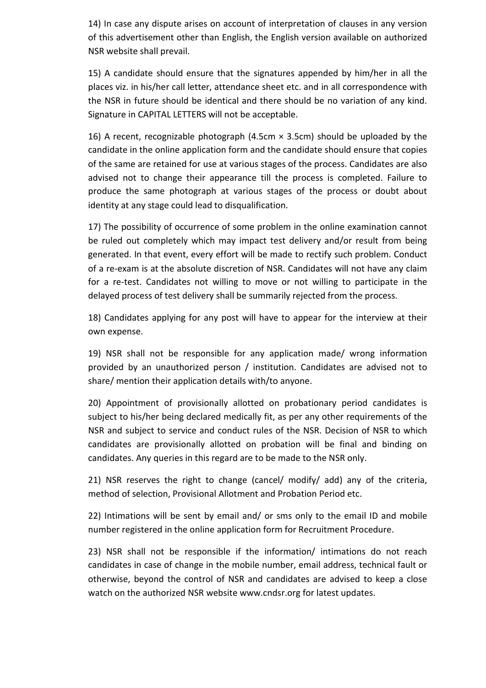14) In case any dispute arises on account of interpretation of clauses in any version of this advertisement other than English, the English version available on authorized NSR website shall prevail.

15) A candidate should ensure that the signatures appended by him/her in all the places viz. in his/her call letter, attendance sheet etc. and in all correspondence with the NSR in future should be identical and there should be no variation of any kind. Signature in CAPITAL LETTERS will not be acceptable.

16) A recent, recognizable photograph (4.5cm  $\times$  3.5cm) should be uploaded by the candidate in the online application form and the candidate should ensure that copies of the same are retained for use at various stages of the process. Candidates are also advised not to change their appearance till the process is completed. Failure to produce the same photograph at various stages of the process or doubt about identity at any stage could lead to disqualification.

17) The possibility of occurrence of some problem in the online examination cannot be ruled out completely which may impact test delivery and/or result from being generated. In that event, every effort will be made to rectify such problem. Conduct of a re-exam is at the absolute discretion of NSR. Candidates will not have any claim for a re-test. Candidates not willing to move or not willing to participate in the delayed process of test delivery shall be summarily rejected from the process.

18) Candidates applying for any post will have to appear for the interview at their own expense.

19) NSR shall not be responsible for any application made/ wrong information provided by an unauthorized person / institution. Candidates are advised not to share/ mention their application details with/to anyone.

20) Appointment of provisionally allotted on probationary period candidates is subject to his/her being declared medically fit, as per any other requirements of the NSR and subject to service and conduct rules of the NSR. Decision of NSR to which candidates are provisionally allotted on probation will be final and binding on candidates. Any queries in this regard are to be made to the NSR only.

21) NSR reserves the right to change (cancel/ modify/ add) any of the criteria, method of selection, Provisional Allotment and Probation Period etc.

22) Intimations will be sent by email and/ or sms only to the email ID and mobile number registered in the online application form for Recruitment Procedure.

23) NSR shall not be responsible if the information/ intimations do not reach candidates in case of change in the mobile number, email address, technical fault or otherwise, beyond the control of NSR and candidates are advised to keep a close watch on the authorized NSR website www.cndsr.org for latest updates.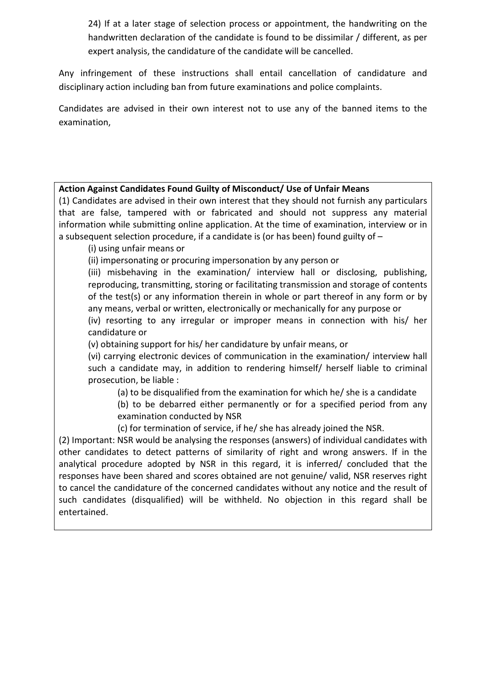24) If at a later stage of selection process or appointment, the handwriting on the handwritten declaration of the candidate is found to be dissimilar / different, as per expert analysis, the candidature of the candidate will be cancelled.

Any infringement of these instructions shall entail cancellation of candidature and disciplinary action including ban from future examinations and police complaints.

Candidates are advised in their own interest not to use any of the banned items to the examination,

# Action Against Candidates Found Guilty of Misconduct/ Use of Unfair Means

(1) Candidates are advised in their own interest that they should not furnish any particulars that are false, tampered with or fabricated and should not suppress any material information while submitting online application. At the time of examination, interview or in a subsequent selection procedure, if a candidate is (or has been) found guilty of –

(i) using unfair means or

(ii) impersonating or procuring impersonation by any person or

(iii) misbehaving in the examination/ interview hall or disclosing, publishing, reproducing, transmitting, storing or facilitating transmission and storage of contents of the test(s) or any information therein in whole or part thereof in any form or by any means, verbal or written, electronically or mechanically for any purpose or

(iv) resorting to any irregular or improper means in connection with his/ her candidature or

(v) obtaining support for his/ her candidature by unfair means, or

(vi) carrying electronic devices of communication in the examination/ interview hall such a candidate may, in addition to rendering himself/ herself liable to criminal prosecution, be liable :

(a) to be disqualified from the examination for which he/ she is a candidate

(b) to be debarred either permanently or for a specified period from any examination conducted by NSR

(c) for termination of service, if he/ she has already joined the NSR.

(2) Important: NSR would be analysing the responses (answers) of individual candidates with other candidates to detect patterns of similarity of right and wrong answers. If in the analytical procedure adopted by NSR in this regard, it is inferred/ concluded that the responses have been shared and scores obtained are not genuine/ valid, NSR reserves right to cancel the candidature of the concerned candidates without any notice and the result of such candidates (disqualified) will be withheld. No objection in this regard shall be entertained.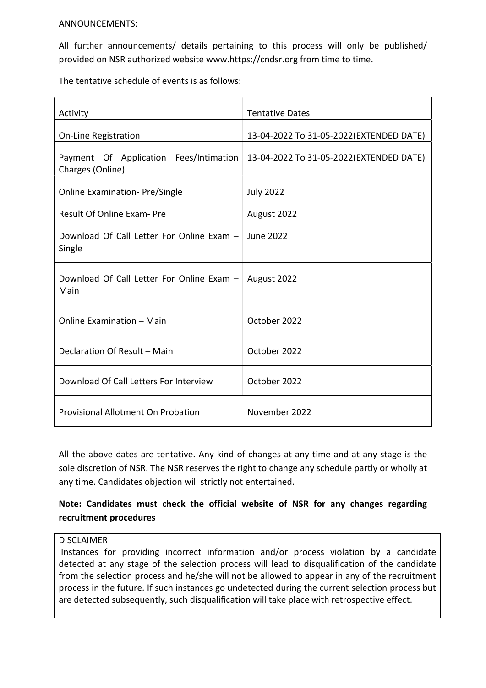#### ANNOUNCEMENTS:

All further announcements/ details pertaining to this process will only be published/ provided on NSR authorized website www.https://cndsr.org from time to time.

The tentative schedule of events is as follows:

| Activity                                                   | <b>Tentative Dates</b>                   |
|------------------------------------------------------------|------------------------------------------|
| <b>On-Line Registration</b>                                | 13-04-2022 To 31-05-2022 (EXTENDED DATE) |
| Payment Of Application Fees/Intimation<br>Charges (Online) | 13-04-2022 To 31-05-2022(EXTENDED DATE)  |
| <b>Online Examination-Pre/Single</b>                       | <b>July 2022</b>                         |
| Result Of Online Exam- Pre                                 | August 2022                              |
| Download Of Call Letter For Online Exam -<br>Single        | June 2022                                |
| Download Of Call Letter For Online Exam -<br>Main          | August 2022                              |
| Online Examination - Main                                  | October 2022                             |
| Declaration Of Result - Main                               | October 2022                             |
| Download Of Call Letters For Interview                     | October 2022                             |
| <b>Provisional Allotment On Probation</b>                  | November 2022                            |

All the above dates are tentative. Any kind of changes at any time and at any stage is the sole discretion of NSR. The NSR reserves the right to change any schedule partly or wholly at any time. Candidates objection will strictly not entertained.

# Note: Candidates must check the official website of NSR for any changes regarding recruitment procedures

### DISCLAIMER

 Instances for providing incorrect information and/or process violation by a candidate detected at any stage of the selection process will lead to disqualification of the candidate from the selection process and he/she will not be allowed to appear in any of the recruitment process in the future. If such instances go undetected during the current selection process but are detected subsequently, such disqualification will take place with retrospective effect.